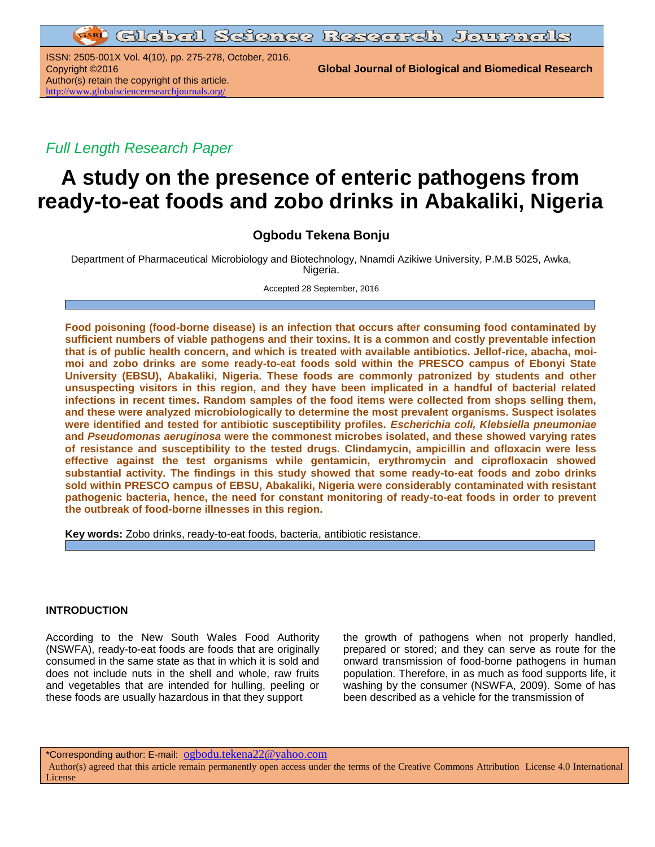ISSN: 2505-001X Vol. 4(10), pp. 275-278, October, 2016. Author(s) retain the copyright of this article. <http://www.globalscienceresearchjournals.org/>

Copyright ©2016 **Global Journal of Biological and Biomedical Research**

*Full Length Research Paper*

# **A study on the presence of enteric pathogens from ready-to-eat foods and zobo drinks in Abakaliki, Nigeria**

# **Ogbodu Tekena Bonju**

Department of Pharmaceutical Microbiology and Biotechnology, Nnamdi Azikiwe University, P.M.B 5025, Awka, Nigeria.

Accepted 28 September, 2016

**Food poisoning (food-borne disease) is an infection that occurs after consuming food contaminated by sufficient numbers of viable pathogens and their toxins. It is a common and costly preventable infection that is of public health concern, and which is treated with available antibiotics. Jellof-rice, abacha, moimoi and zobo drinks are some ready-to-eat foods sold within the PRESCO campus of Ebonyi State University (EBSU), Abakaliki, Nigeria. These foods are commonly patronized by students and other unsuspecting visitors in this region, and they have been implicated in a handful of bacterial related infections in recent times. Random samples of the food items were collected from shops selling them, and these were analyzed microbiologically to determine the most prevalent organisms. Suspect isolates were identified and tested for antibiotic susceptibility profiles.** *Escherichia coli, Klebsiella pneumoniae* **and** *Pseudomonas aeruginosa* **were the commonest microbes isolated, and these showed varying rates of resistance and susceptibility to the tested drugs. Clindamycin, ampicillin and ofloxacin were less effective against the test organisms while gentamicin, erythromycin and ciprofloxacin showed substantial activity. The findings in this study showed that some ready-to-eat foods and zobo drinks sold within PRESCO campus of EBSU, Abakaliki, Nigeria were considerably contaminated with resistant pathogenic bacteria, hence, the need for constant monitoring of ready-to-eat foods in order to prevent the outbreak of food-borne illnesses in this region.**

**Key words:** Zobo drinks, ready-to-eat foods, bacteria, antibiotic resistance.

## **INTRODUCTION**

According to the New South Wales Food Authority (NSWFA), ready-to-eat foods are foods that are originally consumed in the same state as that in which it is sold and does not include nuts in the shell and whole, raw fruits and vegetables that are intended for hulling, peeling or these foods are usually hazardous in that they support

the growth of pathogens when not properly handled, prepared or stored; and they can serve as route for the onward transmission of food-borne pathogens in human population. Therefore, in as much as food supports life, it washing by the consumer (NSWFA, 2009). Some of has been described as a vehicle for the transmission of

\*Corresponding author: E-mail: [ogbodu.tekena22@yahoo.com](mailto:ogbodu.tekena22@yahoo.com)

Author(s) agreed that this article remain permanently open access under the terms of the Creative Commons Attribution License 4.0 International License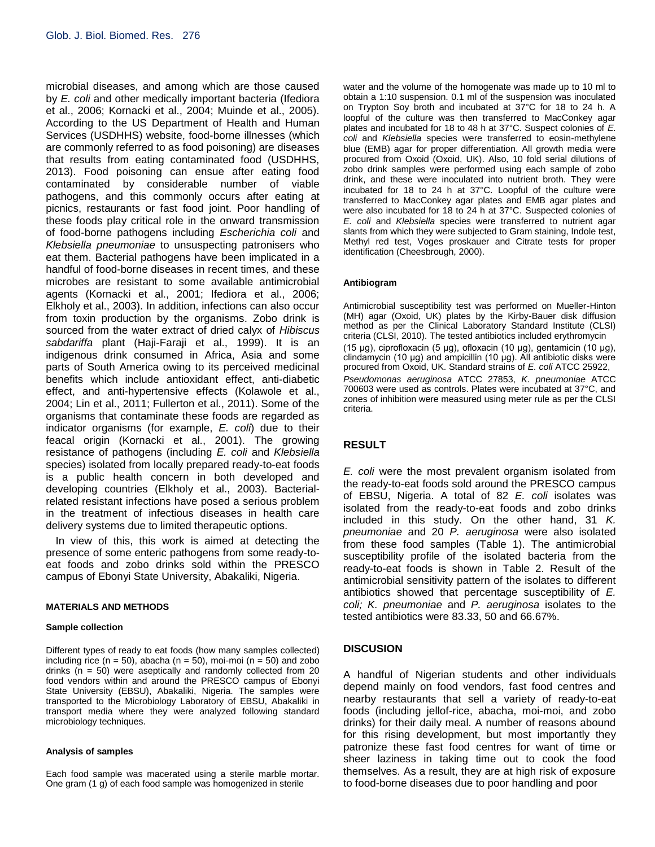microbial diseases, and among which are those caused by *E. coli* and other medically important bacteria (Ifediora et al., 2006; Kornacki et al., 2004; Muinde et al., 2005). According to the US Department of Health and Human Services (USDHHS) website, food-borne illnesses (which are commonly referred to as food poisoning) are diseases that results from eating contaminated food (USDHHS, 2013). Food poisoning can ensue after eating food contaminated by considerable number of viable pathogens, and this commonly occurs after eating at picnics, restaurants or fast food joint. Poor handling of these foods play critical role in the onward transmission of food-borne pathogens including *Escherichia coli* and *Klebsiella pneumoniae* to unsuspecting patronisers who eat them. Bacterial pathogens have been implicated in a handful of food-borne diseases in recent times, and these microbes are resistant to some available antimicrobial agents (Kornacki et al., 2001; Ifediora et al., 2006; Elkholy et al., 2003). In addition, infections can also occur from toxin production by the organisms. Zobo drink is sourced from the water extract of dried calyx of *Hibiscus sabdariffa* plant (Haji-Faraji et al., 1999). It is an indigenous drink consumed in Africa, Asia and some parts of South America owing to its perceived medicinal benefits which include antioxidant effect, anti-diabetic effect, and anti-hypertensive effects (Kolawole et al., 2004; Lin et al., 2011; Fullerton et al., 2011). Some of the organisms that contaminate these foods are regarded as indicator organisms (for example, *E. coli*) due to their feacal origin (Kornacki et al., 2001). The growing resistance of pathogens (including *E. coli* and *Klebsiella* species) isolated from locally prepared ready-to-eat foods is a public health concern in both developed and developing countries (Elkholy et al., 2003). Bacterialrelated resistant infections have posed a serious problem in the treatment of infectious diseases in health care delivery systems due to limited therapeutic options.

In view of this, this work is aimed at detecting the presence of some enteric pathogens from some ready-toeat foods and zobo drinks sold within the PRESCO campus of Ebonyi State University, Abakaliki, Nigeria.

#### **MATERIALS AND METHODS**

#### **Sample collection**

Different types of ready to eat foods (how many samples collected) including rice ( $n = 50$ ), abacha ( $n = 50$ ), moi-moi ( $n = 50$ ) and zobo drinks ( $n = 50$ ) were aseptically and randomly collected from 20 food vendors within and around the PRESCO campus of Ebonyi State University (EBSU), Abakaliki, Nigeria. The samples were transported to the Microbiology Laboratory of EBSU, Abakaliki in transport media where they were analyzed following standard microbiology techniques.

#### **Analysis of samples**

Each food sample was macerated using a sterile marble mortar. One gram (1 g) of each food sample was homogenized in sterile

water and the volume of the homogenate was made up to 10 ml to obtain a 1:10 suspension. 0.1 ml of the suspension was inoculated on Trypton Soy broth and incubated at 37°C for 18 to 24 h. A loopful of the culture was then transferred to MacConkey agar plates and incubated for 18 to 48 h at 37°C. Suspect colonies of *E. coli* and *Klebsiella* species were transferred to eosin-methylene blue (EMB) agar for proper differentiation. All growth media were procured from Oxoid (Oxoid, UK). Also, 10 fold serial dilutions of zobo drink samples were performed using each sample of zobo drink, and these were inoculated into nutrient broth. They were incubated for 18 to 24 h at 37°C. Loopful of the culture were transferred to MacConkey agar plates and EMB agar plates and were also incubated for 18 to 24 h at 37°C. Suspected colonies of *E. coli* and *Klebsiella* species were transferred to nutrient agar slants from which they were subjected to Gram staining, Indole test, Methyl red test, Voges proskauer and Citrate tests for proper identification (Cheesbrough, 2000).

#### **Antibiogram**

Antimicrobial susceptibility test was performed on Mueller-Hinton (MH) agar (Oxoid, UK) plates by the Kirby-Bauer disk diffusion method as per the Clinical Laboratory Standard Institute (CLSI) criteria (CLSI, 2010). The tested antibiotics included erythromycin (15 μg), ciprofloxacin (5 μg), ofloxacin (10 µg), gentamicin (10 μg), clindamycin (10 μg) and ampicillin (10 μg). All antibiotic disks were procured from Oxoid, UK. Standard strains of *E. coli* ATCC 25922, *Pseudomonas aeruginosa* ATCC 27853, *K. pneumoniae* ATCC 700603 were used as controls. Plates were incubated at 37°C, and zones of inhibition were measured using meter rule as per the CLSI criteria.

## **RESULT**

*E. coli* were the most prevalent organism isolated from the ready-to-eat foods sold around the PRESCO campus of EBSU, Nigeria. A total of 82 *E. coli* isolates was isolated from the ready-to-eat foods and zobo drinks included in this study. On the other hand, 31 *K. pneumoniae* and 20 *P. aeruginosa* were also isolated from these food samples (Table 1). The antimicrobial susceptibility profile of the isolated bacteria from the ready-to-eat foods is shown in Table 2. Result of the antimicrobial sensitivity pattern of the isolates to different antibiotics showed that percentage susceptibility of *E. coli; K. pneumoniae* and *P. aeruginosa* isolates to the tested antibiotics were 83.33, 50 and 66.67%.

## **DISCUSION**

A handful of Nigerian students and other individuals depend mainly on food vendors, fast food centres and nearby restaurants that sell a variety of ready-to-eat foods (including jellof-rice, abacha, moi-moi, and zobo drinks) for their daily meal. A number of reasons abound for this rising development, but most importantly they patronize these fast food centres for want of time or sheer laziness in taking time out to cook the food themselves. As a result, they are at high risk of exposure to food-borne diseases due to poor handling and poor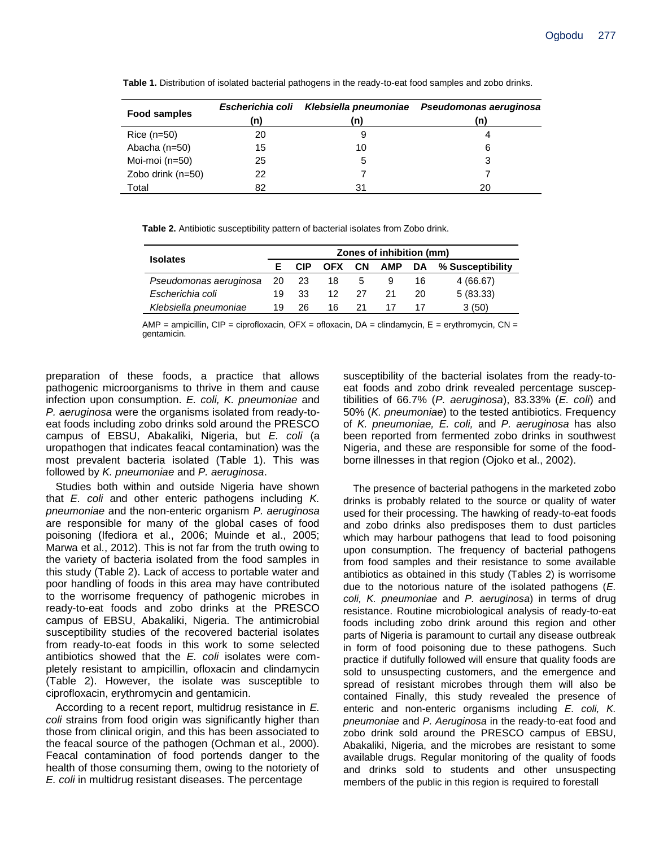**Table 1.** Distribution of isolated bacterial pathogens in the ready-to-eat food samples and zobo drinks.

| Food samples      | Escherichia coli<br>(n) | (n) | Klebsiella pneumoniae  Pseudomonas aeruginosa<br>(n) |  |  |
|-------------------|-------------------------|-----|------------------------------------------------------|--|--|
| $Rice (n=50)$     | 20                      | 9   |                                                      |  |  |
| Abacha (n=50)     | 15                      | 10  | 6                                                    |  |  |
| Moi-moi (n=50)    | 25                      | 5   | 3                                                    |  |  |
| Zobo drink (n=50) | 22                      |     |                                                      |  |  |
| Total             | 82                      | 31  | 20                                                   |  |  |

**Table 2.** Antibiotic susceptibility pattern of bacterial isolates from Zobo drink.

| <b>Isolates</b>              |    | Zones of inhibition (mm) |            |     |        |    |                  |  |  |
|------------------------------|----|--------------------------|------------|-----|--------|----|------------------|--|--|
|                              |    | <b>CIP</b>               | <b>OFX</b> | CN  | AMP DA |    | % Susceptibility |  |  |
| Pseudomonas aeruginosa 20 23 |    |                          | 18         | 5   |        | 16 | 4 (66.67)        |  |  |
| Escherichia coli             | 19 | -33                      | 12.        | -27 | 21     | 20 | 5(83.33)         |  |  |
| Klebsiella pneumoniae        | 19 | 26                       | 16.        | 21  |        |    | 3(50)            |  |  |

 $AMP = ampicillin, CIP = ciproflox (DFX = oflox (DAX = c) and a "C'h' (CAX = c) and a "C'h'' (CAX = c) and a "C'h'' (CAX = c) and a "C'h'' (CAX = c) and a "C'h'' (CAX = c) and a "C'h'' (CAX = c) and a "C'h'' (CAX = c) and a "C'h'' (CAX = c) and a "C'h'' (CAX = c) and a "C'h'' (CAX = c) and a "C'h'' (CAX = c) and a "C'h'' (CAX = c) and a "C'h'' (CAX = c) and a "C'h'' (CAX = c) and a "C'h'' (CAX = c) and a "C'h'' (CAX = c) and a "$ gentamicin.

preparation of these foods, a practice that allows pathogenic microorganisms to thrive in them and cause infection upon consumption. *E. coli, K. pneumoniae* and *P. aeruginosa* were the organisms isolated from ready-toeat foods including zobo drinks sold around the PRESCO campus of EBSU, Abakaliki, Nigeria, but *E. coli* (a uropathogen that indicates feacal contamination) was the most prevalent bacteria isolated (Table 1). This was followed by *K. pneumoniae* and *P. aeruginosa*.

Studies both within and outside Nigeria have shown that *E. coli* and other enteric pathogens including *K. pneumoniae* and the non-enteric organism *P. aeruginosa*  are responsible for many of the global cases of food poisoning (Ifediora et al., 2006; Muinde et al., 2005; Marwa et al., 2012). This is not far from the truth owing to the variety of bacteria isolated from the food samples in this study (Table 2). Lack of access to portable water and poor handling of foods in this area may have contributed to the worrisome frequency of pathogenic microbes in ready-to-eat foods and zobo drinks at the PRESCO campus of EBSU, Abakaliki, Nigeria. The antimicrobial susceptibility studies of the recovered bacterial isolates from ready-to-eat foods in this work to some selected antibiotics showed that the *E. coli* isolates were completely resistant to ampicillin, ofloxacin and clindamycin (Table 2). However, the isolate was susceptible to ciprofloxacin, erythromycin and gentamicin.

According to a recent report, multidrug resistance in *E. coli* strains from food origin was significantly higher than those from clinical origin, and this has been associated to the feacal source of the pathogen (Ochman et al., 2000). Feacal contamination of food portends danger to the health of those consuming them, owing to the notoriety of *E. coli* in multidrug resistant diseases. The percentage

susceptibility of the bacterial isolates from the ready-toeat foods and zobo drink revealed percentage susceptibilities of 66.7% (*P. aeruginosa*), 83.33% (*E. coli*) and 50% (*K. pneumoniae*) to the tested antibiotics. Frequency of *K. pneumoniae, E. coli,* and *P. aeruginosa* has also been reported from fermented zobo drinks in southwest Nigeria, and these are responsible for some of the foodborne illnesses in that region (Ojoko et al., 2002).

The presence of bacterial pathogens in the marketed zobo drinks is probably related to the source or quality of water used for their processing. The hawking of ready-to-eat foods and zobo drinks also predisposes them to dust particles which may harbour pathogens that lead to food poisoning upon consumption. The frequency of bacterial pathogens from food samples and their resistance to some available antibiotics as obtained in this study (Tables 2) is worrisome due to the notorious nature of the isolated pathogens (*E. coli, K. pneumoniae* and *P. aeruginosa*) in terms of drug resistance. Routine microbiological analysis of ready-to-eat foods including zobo drink around this region and other parts of Nigeria is paramount to curtail any disease outbreak in form of food poisoning due to these pathogens. Such practice if dutifully followed will ensure that quality foods are sold to unsuspecting customers, and the emergence and spread of resistant microbes through them will also be contained Finally, this study revealed the presence of enteric and non-enteric organisms including *E. coli, K. pneumoniae* and *P. Aeruginosa* in the ready-to-eat food and zobo drink sold around the PRESCO campus of EBSU, Abakaliki, Nigeria, and the microbes are resistant to some available drugs. Regular monitoring of the quality of foods and drinks sold to students and other unsuspecting members of the public in this region is required to forestall